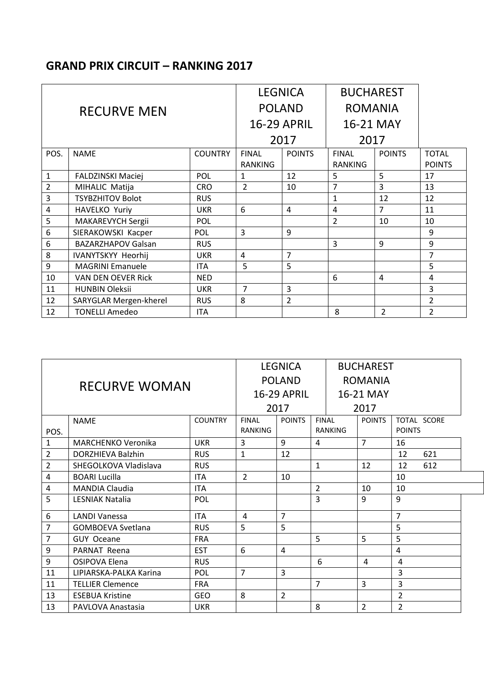## **GRAND PRIX CIRCUIT – RANKING 2017**

|                    |                           | <b>LEGNICA</b> |                    | <b>BUCHAREST</b> |                |                |                |
|--------------------|---------------------------|----------------|--------------------|------------------|----------------|----------------|----------------|
| <b>RECURVE MEN</b> |                           |                |                    | <b>POLAND</b>    | <b>ROMANIA</b> |                |                |
|                    |                           |                | <b>16-29 APRIL</b> |                  | 16-21 MAY      |                |                |
|                    |                           |                | 2017               |                  | 2017           |                |                |
| POS.               | <b>NAME</b>               | <b>COUNTRY</b> | <b>FINAL</b>       | <b>POINTS</b>    | <b>FINAL</b>   | <b>POINTS</b>  | <b>TOTAL</b>   |
|                    |                           |                | <b>RANKING</b>     |                  | <b>RANKING</b> |                | <b>POINTS</b>  |
| 1                  | <b>FALDZINSKI Maciej</b>  | POL            | 1                  | 12               | 5              | 5              | 17             |
| $\overline{2}$     | MIHALIC Matija            | <b>CRO</b>     | $\mathcal{P}$      | 10               | 7              | 3              | 13             |
| 3                  | <b>TSYBZHITOV Bolot</b>   | <b>RUS</b>     |                    |                  | $\mathbf{1}$   | 12             | 12             |
| 4                  | HAVELKO Yuriy             | <b>UKR</b>     | 6                  | 4                | 4              | $\overline{7}$ | 11             |
| 5                  | <b>MAKAREVYCH Sergii</b>  | POL            |                    |                  | $\overline{2}$ | 10             | 10             |
| 6                  | SIERAKOWSKI Kacper        | POL            | 3                  | 9                |                |                | 9              |
| 6                  | <b>BAZARZHAPOV Galsan</b> | <b>RUS</b>     |                    |                  | 3              | 9              | 9              |
| 8                  | <b>IVANYTSKYY Heorhij</b> | <b>UKR</b>     | 4                  | 7                |                |                | 7              |
| 9                  | <b>MAGRINI Emanuele</b>   | ITA.           | 5                  | 5                |                |                | 5              |
| 10                 | VAN DEN OEVER Rick        | <b>NED</b>     |                    |                  | 6              | $\overline{4}$ | 4              |
| 11                 | <b>HUNBIN Oleksii</b>     | <b>UKR</b>     | $\overline{7}$     | 3                |                |                | 3              |
| 12                 | SARYGLAR Mergen-kherel    | <b>RUS</b>     | 8                  | $\overline{2}$   |                |                | $\overline{2}$ |
| 12                 | <b>TONELLI Amedeo</b>     | <b>ITA</b>     |                    |                  | 8              | $\overline{2}$ | $\overline{2}$ |

| <b>RECURVE WOMAN</b> |                           |                | <b>LEGNICA</b><br><b>POLAND</b><br><b>16-29 APRIL</b> |                |                | <b>BUCHAREST</b><br><b>ROMANIA</b><br>16-21 MAY |                |             |
|----------------------|---------------------------|----------------|-------------------------------------------------------|----------------|----------------|-------------------------------------------------|----------------|-------------|
|                      |                           |                | 2017                                                  |                |                | 2017                                            |                |             |
|                      | <b>NAME</b>               | <b>COUNTRY</b> | <b>POINTS</b><br><b>FINAL</b>                         |                | <b>FINAL</b>   | <b>POINTS</b>                                   |                | TOTAL SCORE |
| POS.                 |                           |                | <b>RANKING</b>                                        |                | RANKING        |                                                 | <b>POINTS</b>  |             |
| $\mathbf{1}$         | <b>MARCHENKO Veronika</b> | <b>UKR</b>     | $\overline{3}$                                        | 9              | 4              | $\overline{7}$                                  | 16             |             |
| $\overline{2}$       | <b>DORZHIEVA Balzhin</b>  | <b>RUS</b>     | $\mathbf{1}$                                          | 12             |                |                                                 | 12             | 621         |
| $\overline{2}$       | SHEGOLKOVA Vladislava     | <b>RUS</b>     |                                                       |                | $\mathbf{1}$   | 12                                              | 12             | 612         |
| 4                    | <b>BOARI Lucilla</b>      | <b>ITA</b>     | $\overline{2}$                                        | 10             |                |                                                 | 10             |             |
| $\overline{4}$       | <b>MANDIA Claudia</b>     | <b>ITA</b>     |                                                       |                | $\overline{2}$ | 10                                              | 10             |             |
| 5                    | LESNIAK Natalia           | <b>POL</b>     |                                                       |                | 3              | 9                                               | 9              |             |
| 6                    | <b>LANDI Vanessa</b>      | <b>ITA</b>     | 4                                                     | $\overline{7}$ |                |                                                 | $\overline{7}$ |             |
| 7                    | <b>GOMBOEVA Svetlana</b>  | <b>RUS</b>     | 5.                                                    | 5              |                |                                                 | 5              |             |
| $\overline{7}$       | <b>GUY Oceane</b>         | <b>FRA</b>     |                                                       |                | 5              | 5                                               | 5              |             |
| 9                    | PARNAT Reena              | <b>EST</b>     | 6                                                     | 4              |                |                                                 | 4              |             |
| 9                    | OSIPOVA Elena             | <b>RUS</b>     |                                                       |                | 6              | 4                                               | 4              |             |
| 11                   | LIPIARSKA-PALKA Karina    | <b>POL</b>     | 7                                                     | $\overline{3}$ |                |                                                 | 3              |             |
| 11                   | <b>TELLIER Clemence</b>   | <b>FRA</b>     |                                                       |                | $\overline{7}$ | 3                                               | $\overline{3}$ |             |
| 13                   | <b>ESEBUA Kristine</b>    | <b>GEO</b>     | 8                                                     | $\overline{2}$ |                |                                                 | $\overline{2}$ |             |
| 13                   | PAVLOVA Anastasia         | <b>UKR</b>     |                                                       |                | 8              | $\overline{2}$                                  | $\overline{2}$ |             |